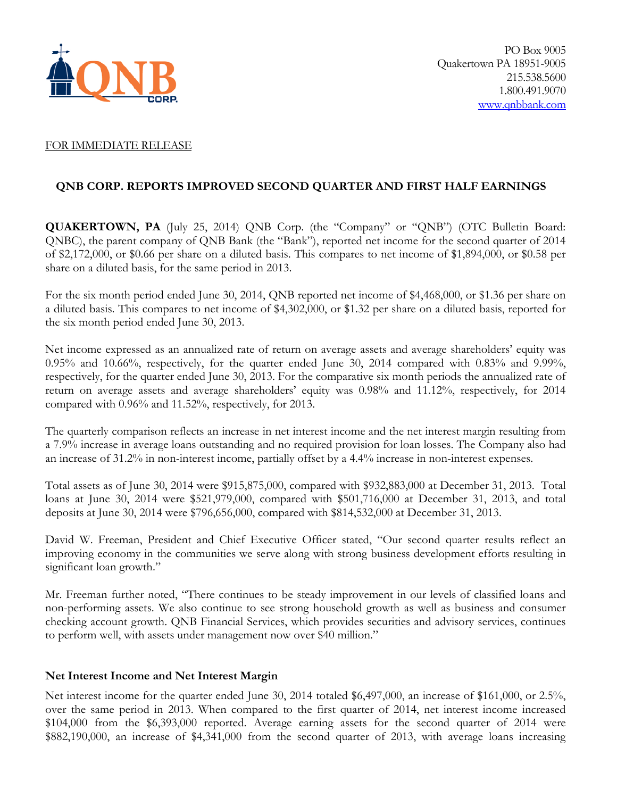

## FOR IMMEDIATE RELEASE

# **QNB CORP. REPORTS IMPROVED SECOND QUARTER AND FIRST HALF EARNINGS**

**QUAKERTOWN, PA** (July 25, 2014) QNB Corp. (the "Company" or "QNB") (OTC Bulletin Board: QNBC), the parent company of QNB Bank (the "Bank"), reported net income for the second quarter of 2014 of \$2,172,000, or \$0.66 per share on a diluted basis. This compares to net income of \$1,894,000, or \$0.58 per share on a diluted basis, for the same period in 2013.

For the six month period ended June 30, 2014, QNB reported net income of \$4,468,000, or \$1.36 per share on a diluted basis. This compares to net income of \$4,302,000, or \$1.32 per share on a diluted basis, reported for the six month period ended June 30, 2013.

Net income expressed as an annualized rate of return on average assets and average shareholders' equity was 0.95% and 10.66%, respectively, for the quarter ended June 30, 2014 compared with 0.83% and 9.99%, respectively, for the quarter ended June 30, 2013. For the comparative six month periods the annualized rate of return on average assets and average shareholders' equity was 0.98% and 11.12%, respectively, for 2014 compared with 0.96% and 11.52%, respectively, for 2013.

The quarterly comparison reflects an increase in net interest income and the net interest margin resulting from a 7.9% increase in average loans outstanding and no required provision for loan losses. The Company also had an increase of 31.2% in non-interest income, partially offset by a 4.4% increase in non-interest expenses.

Total assets as of June 30, 2014 were \$915,875,000, compared with \$932,883,000 at December 31, 2013. Total loans at June 30, 2014 were \$521,979,000, compared with \$501,716,000 at December 31, 2013, and total deposits at June 30, 2014 were \$796,656,000, compared with \$814,532,000 at December 31, 2013.

David W. Freeman, President and Chief Executive Officer stated, "Our second quarter results reflect an improving economy in the communities we serve along with strong business development efforts resulting in significant loan growth."

Mr. Freeman further noted, "There continues to be steady improvement in our levels of classified loans and non-performing assets. We also continue to see strong household growth as well as business and consumer checking account growth. QNB Financial Services, which provides securities and advisory services, continues to perform well, with assets under management now over \$40 million."

# **Net Interest Income and Net Interest Margin**

Net interest income for the quarter ended June 30, 2014 totaled \$6,497,000, an increase of \$161,000, or 2.5%, over the same period in 2013. When compared to the first quarter of 2014, net interest income increased \$104,000 from the \$6,393,000 reported. Average earning assets for the second quarter of 2014 were \$882,190,000, an increase of \$4,341,000 from the second quarter of 2013, with average loans increasing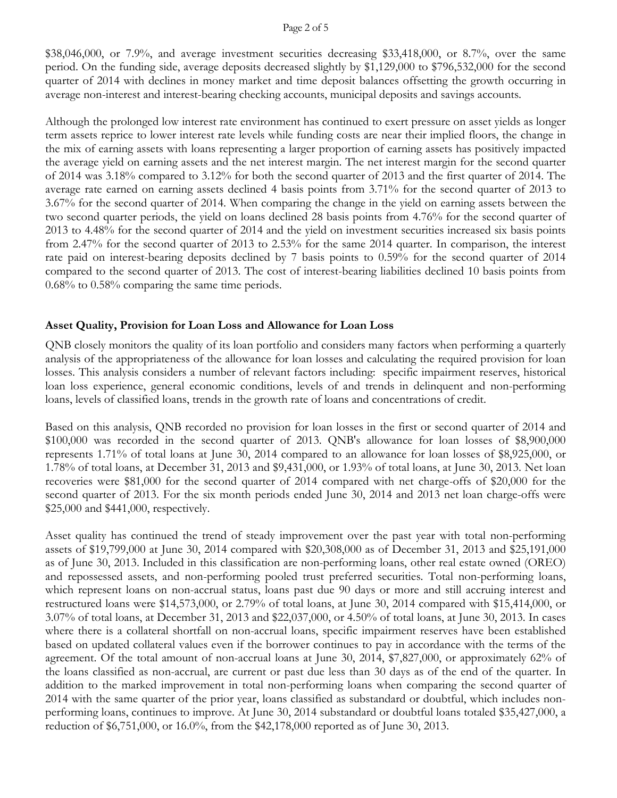## Page 2 of 5

\$38,046,000, or 7.9%, and average investment securities decreasing \$33,418,000, or 8.7%, over the same period. On the funding side, average deposits decreased slightly by \$1,129,000 to \$796,532,000 for the second quarter of 2014 with declines in money market and time deposit balances offsetting the growth occurring in average non-interest and interest-bearing checking accounts, municipal deposits and savings accounts.

Although the prolonged low interest rate environment has continued to exert pressure on asset yields as longer term assets reprice to lower interest rate levels while funding costs are near their implied floors, the change in the mix of earning assets with loans representing a larger proportion of earning assets has positively impacted the average yield on earning assets and the net interest margin. The net interest margin for the second quarter of 2014 was 3.18% compared to 3.12% for both the second quarter of 2013 and the first quarter of 2014. The average rate earned on earning assets declined 4 basis points from 3.71% for the second quarter of 2013 to 3.67% for the second quarter of 2014. When comparing the change in the yield on earning assets between the two second quarter periods, the yield on loans declined 28 basis points from 4.76% for the second quarter of 2013 to 4.48% for the second quarter of 2014 and the yield on investment securities increased six basis points from 2.47% for the second quarter of 2013 to 2.53% for the same 2014 quarter. In comparison, the interest rate paid on interest-bearing deposits declined by 7 basis points to 0.59% for the second quarter of 2014 compared to the second quarter of 2013. The cost of interest-bearing liabilities declined 10 basis points from 0.68% to 0.58% comparing the same time periods.

# **Asset Quality, Provision for Loan Loss and Allowance for Loan Loss**

QNB closely monitors the quality of its loan portfolio and considers many factors when performing a quarterly analysis of the appropriateness of the allowance for loan losses and calculating the required provision for loan losses. This analysis considers a number of relevant factors including: specific impairment reserves, historical loan loss experience, general economic conditions, levels of and trends in delinquent and non-performing loans, levels of classified loans, trends in the growth rate of loans and concentrations of credit.

Based on this analysis, QNB recorded no provision for loan losses in the first or second quarter of 2014 and \$100,000 was recorded in the second quarter of 2013. QNB's allowance for loan losses of \$8,900,000 represents 1.71% of total loans at June 30, 2014 compared to an allowance for loan losses of \$8,925,000, or 1.78% of total loans, at December 31, 2013 and \$9,431,000, or 1.93% of total loans, at June 30, 2013. Net loan recoveries were \$81,000 for the second quarter of 2014 compared with net charge-offs of \$20,000 for the second quarter of 2013. For the six month periods ended June 30, 2014 and 2013 net loan charge-offs were \$25,000 and \$441,000, respectively.

Asset quality has continued the trend of steady improvement over the past year with total non-performing assets of \$19,799,000 at June 30, 2014 compared with \$20,308,000 as of December 31, 2013 and \$25,191,000 as of June 30, 2013. Included in this classification are non-performing loans, other real estate owned (OREO) and repossessed assets, and non-performing pooled trust preferred securities. Total non-performing loans, which represent loans on non-accrual status, loans past due 90 days or more and still accruing interest and restructured loans were \$14,573,000, or 2.79% of total loans, at June 30, 2014 compared with \$15,414,000, or 3.07% of total loans, at December 31, 2013 and \$22,037,000, or 4.50% of total loans, at June 30, 2013. In cases where there is a collateral shortfall on non-accrual loans, specific impairment reserves have been established based on updated collateral values even if the borrower continues to pay in accordance with the terms of the agreement. Of the total amount of non-accrual loans at June 30, 2014, \$7,827,000, or approximately 62% of the loans classified as non-accrual, are current or past due less than 30 days as of the end of the quarter. In addition to the marked improvement in total non-performing loans when comparing the second quarter of 2014 with the same quarter of the prior year, loans classified as substandard or doubtful, which includes nonperforming loans, continues to improve. At June 30, 2014 substandard or doubtful loans totaled \$35,427,000, a reduction of \$6,751,000, or 16.0%, from the \$42,178,000 reported as of June 30, 2013.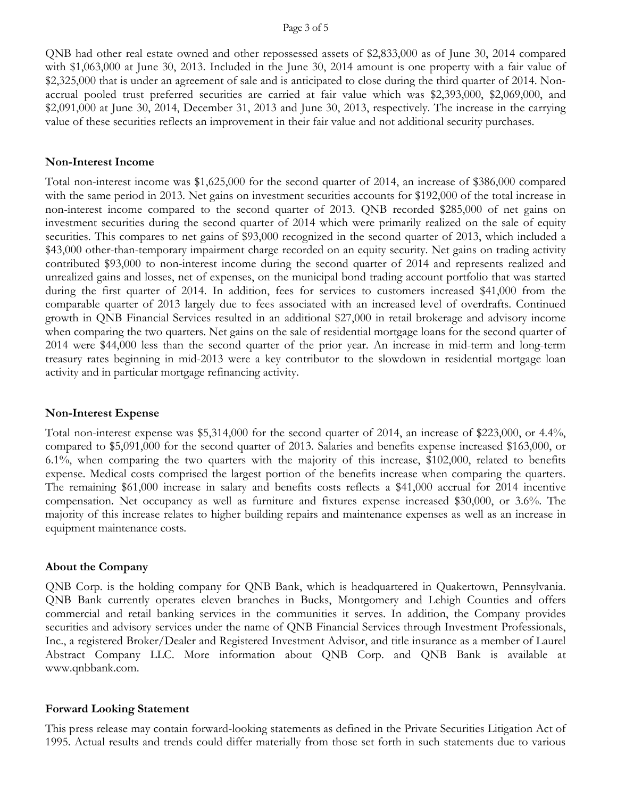#### Page 3 of 5

QNB had other real estate owned and other repossessed assets of \$2,833,000 as of June 30, 2014 compared with \$1,063,000 at June 30, 2013. Included in the June 30, 2014 amount is one property with a fair value of \$2,325,000 that is under an agreement of sale and is anticipated to close during the third quarter of 2014. Nonaccrual pooled trust preferred securities are carried at fair value which was \$2,393,000, \$2,069,000, and \$2,091,000 at June 30, 2014, December 31, 2013 and June 30, 2013, respectively. The increase in the carrying value of these securities reflects an improvement in their fair value and not additional security purchases.

#### **Non-Interest Income**

Total non-interest income was \$1,625,000 for the second quarter of 2014, an increase of \$386,000 compared with the same period in 2013. Net gains on investment securities accounts for \$192,000 of the total increase in non-interest income compared to the second quarter of 2013. QNB recorded \$285,000 of net gains on investment securities during the second quarter of 2014 which were primarily realized on the sale of equity securities. This compares to net gains of \$93,000 recognized in the second quarter of 2013, which included a \$43,000 other-than-temporary impairment charge recorded on an equity security. Net gains on trading activity contributed \$93,000 to non-interest income during the second quarter of 2014 and represents realized and unrealized gains and losses, net of expenses, on the municipal bond trading account portfolio that was started during the first quarter of 2014. In addition, fees for services to customers increased \$41,000 from the comparable quarter of 2013 largely due to fees associated with an increased level of overdrafts. Continued growth in QNB Financial Services resulted in an additional \$27,000 in retail brokerage and advisory income when comparing the two quarters. Net gains on the sale of residential mortgage loans for the second quarter of 2014 were \$44,000 less than the second quarter of the prior year. An increase in mid-term and long-term treasury rates beginning in mid-2013 were a key contributor to the slowdown in residential mortgage loan activity and in particular mortgage refinancing activity.

## **Non-Interest Expense**

Total non-interest expense was \$5,314,000 for the second quarter of 2014, an increase of \$223,000, or 4.4%, compared to \$5,091,000 for the second quarter of 2013. Salaries and benefits expense increased \$163,000, or 6.1%, when comparing the two quarters with the majority of this increase, \$102,000, related to benefits expense. Medical costs comprised the largest portion of the benefits increase when comparing the quarters. The remaining \$61,000 increase in salary and benefits costs reflects a \$41,000 accrual for 2014 incentive compensation. Net occupancy as well as furniture and fixtures expense increased \$30,000, or 3.6%. The majority of this increase relates to higher building repairs and maintenance expenses as well as an increase in equipment maintenance costs.

## **About the Company**

QNB Corp. is the holding company for QNB Bank, which is headquartered in Quakertown, Pennsylvania. QNB Bank currently operates eleven branches in Bucks, Montgomery and Lehigh Counties and offers commercial and retail banking services in the communities it serves. In addition, the Company provides securities and advisory services under the name of QNB Financial Services through Investment Professionals, Inc., a registered Broker/Dealer and Registered Investment Advisor, and title insurance as a member of Laurel Abstract Company LLC. More information about QNB Corp. and QNB Bank is available at www.qnbbank.com.

#### **Forward Looking Statement**

This press release may contain forward-looking statements as defined in the Private Securities Litigation Act of 1995. Actual results and trends could differ materially from those set forth in such statements due to various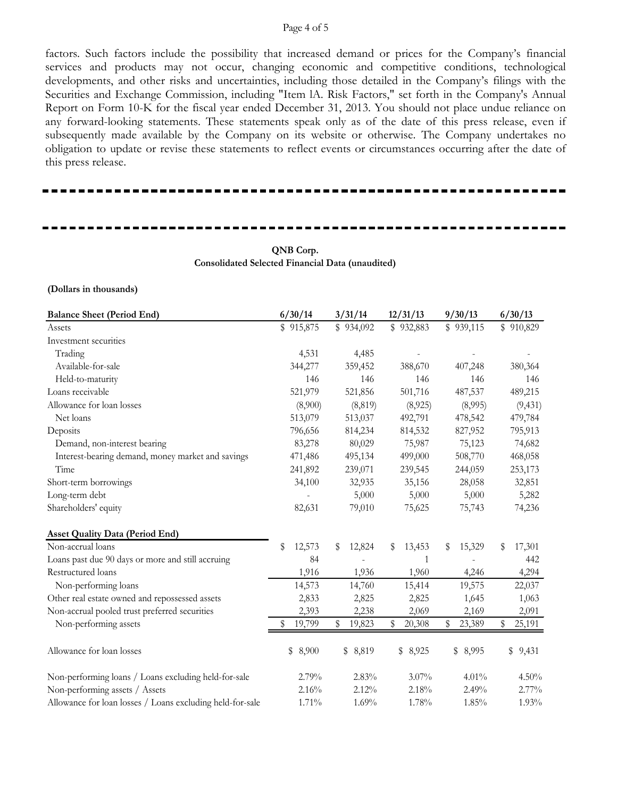#### Page 4 of 5

factors. Such factors include the possibility that increased demand or prices for the Company's financial services and products may not occur, changing economic and competitive conditions, technological developments, and other risks and uncertainties, including those detailed in the Company's filings with the Securities and Exchange Commission, including "Item lA. Risk Factors," set forth in the Company's Annual Report on Form 10-K for the fiscal year ended December 31, 2013. You should not place undue reliance on any forward-looking statements. These statements speak only as of the date of this press release, even if subsequently made available by the Company on its website or otherwise. The Company undertakes no obligation to update or revise these statements to reflect events or circumstances occurring after the date of this press release.

## **QNB Corp. Consolidated Selected Financial Data (unaudited)**

**(Dollars in thousands)**

| <b>Balance Sheet (Period End)</b>                         | 6/30/14      | 3/31/14      | 12/31/13     | 9/30/13      | 6/30/13      |
|-----------------------------------------------------------|--------------|--------------|--------------|--------------|--------------|
| Assets                                                    | \$915,875    | \$934,092    | \$932,883    | \$939,115    | \$910,829    |
| Investment securities                                     |              |              |              |              |              |
| Trading                                                   | 4,531        | 4,485        |              |              |              |
| Available-for-sale                                        | 344,277      | 359,452      | 388,670      | 407,248      | 380,364      |
| Held-to-maturity                                          | 146          | 146          | 146          | 146          | 146          |
| Loans receivable                                          | 521,979      | 521,856      | 501,716      | 487,537      | 489,215      |
| Allowance for loan losses                                 | (8,900)      | (8, 819)     | (8,925)      | (8,995)      | (9, 431)     |
| Net loans                                                 | 513,079      | 513,037      | 492,791      | 478,542      | 479,784      |
| Deposits                                                  | 796,656      | 814,234      | 814,532      | 827,952      | 795,913      |
| Demand, non-interest bearing                              | 83,278       | 80,029       | 75,987       | 75,123       | 74,682       |
| Interest-bearing demand, money market and savings         | 471,486      | 495,134      | 499,000      | 508,770      | 468,058      |
| Time                                                      | 241,892      | 239,071      | 239,545      | 244,059      | 253,173      |
| Short-term borrowings                                     | 34,100       | 32,935       | 35,156       | 28,058       | 32,851       |
| Long-term debt                                            |              | 5,000        | 5,000        | 5,000        | 5,282        |
| Shareholders' equity                                      | 82,631       | 79,010       | 75,625       | 75,743       | 74,236       |
| <b>Asset Quality Data (Period End)</b>                    |              |              |              |              |              |
| Non-accrual loans                                         | \$<br>12,573 | 12,824<br>\$ | 13,453<br>S  | 15,329<br>S  | 17,301<br>\$ |
| Loans past due 90 days or more and still accruing         | 84           |              | 1            |              | 442          |
| Restructured loans                                        | 1,916        | 1,936        | 1,960        | 4,246        | 4,294        |
| Non-performing loans                                      | 14,573       | 14,760       | 15,414       | 19,575       | 22,037       |
| Other real estate owned and repossessed assets            | 2,833        | 2,825        | 2,825        | 1,645        | 1,063        |
| Non-accrual pooled trust preferred securities             | 2,393        | 2,238        | 2,069        | 2,169        | 2,091        |
| Non-performing assets                                     | 19,799       | 19,823<br>\$ | 20,308<br>\$ | \$<br>23,389 | 25,191<br>\$ |
| Allowance for loan losses                                 | 8,900<br>\$  | \$ 8,819     | 8,925<br>\$  | 8,995<br>\$  | \$<br>9,431  |
| Non-performing loans / Loans excluding held-for-sale      | 2.79%        | 2.83%        | $3.07\%$     | 4.01%        | 4.50%        |
| Non-performing assets / Assets                            | 2.16%        | 2.12%        | 2.18%        | 2.49%        | 2.77%        |
| Allowance for loan losses / Loans excluding held-for-sale | 1.71%        | 1.69%        | 1.78%        | 1.85%        | 1.93%        |